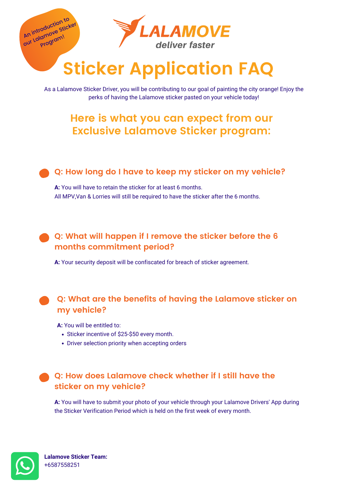# **Sticker Application FAQ**

As a Lalamove Sticker Driver, you will be contributing to our goal of painting the city orange! Enjoy the perks of having the Lalamove sticker pasted on your vehicle today!

# **Here is what you can expect from our Exclusive Lalamove Sticker program:**

**A:** You will have to retain the sticker for at least 6 months. All MPV,Van & Lorries will still be required to have the sticker after the 6 months.

- Sticker incentive of \$25-\$50 every month.
- Driver selection priority when accepting orders

#### **Q: How long do I have to keep my sticker on my vehicle?**

**A:** Your security deposit will be confiscated for breach of sticker agreement.

## **Q: What will happen if I remove the sticker before the 6 months commitment period?**



**Lalamove Sticker Team:** +6587558251

**A:** You will be entitled to:

### **Q: What are the benefits of having the Lalamove sticker on my vehicle?**

**A:** You will have to submit your photo of your vehicle through your Lalamove Drivers' App during the Sticker Verification Period which is held on the first week of every month.



#### **Q: How does Lalamove check whether if I still have the sticker on my vehicle?**